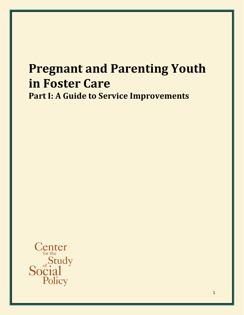# **Pregnant and Parenting Youth in Foster Care Part I: A Guide to Service Improvements**

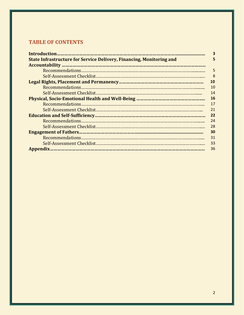# **TABLE OF CONTENTS**

|                                                                             | 3  |
|-----------------------------------------------------------------------------|----|
| <b>State Infrastructure for Service Delivery, Financing, Monitoring and</b> | 5  |
|                                                                             |    |
|                                                                             | 5  |
|                                                                             | 8  |
|                                                                             | 10 |
|                                                                             | 10 |
|                                                                             | 14 |
|                                                                             | 16 |
|                                                                             | 17 |
|                                                                             | 21 |
|                                                                             | 22 |
|                                                                             | 24 |
|                                                                             | 28 |
|                                                                             | 30 |
|                                                                             | 31 |
|                                                                             | 33 |
|                                                                             | 36 |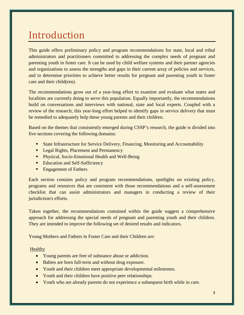# Introduction

This guide offers preliminary policy and program recommendations for state, local and tribal administrators and practitioners committed to addressing the complex needs of pregnant and parenting youth in foster care. It can be used by child welfare systems and their partner agencies and organizations to assess the strengths and gaps in their current array of policies and services, and to determine priorities to achieve better results for pregnant and parenting youth in foster care and their child(ren).

The recommendations grow out of a year-long effort to examine and evaluate what states and localities are currently doing to serve this population. Equally importantly, the recommendations build on conversations and interviews with national, state and local experts. Coupled with a review of the research, this year-long effort helped to identify gaps in service delivery that must be remedied to adequately help these young parents and their children.

Based on the themes that consistently emerged during CSSP's research, the guide is divided into five sections covering the following domains:

- State Infrastructure for Service Delivery, Financing, Monitoring and Accountability
- **Legal Rights, Placement and Permanency**
- **Physical, Socio-Emotional Health and Well-Being**
- **Education and Self-Sufficiency**
- **Engagement of Fathers**

Each section contains policy and program recommendations, spotlights on existing policy, programs and resources that are consistent with those recommendations and a self-assessment checklist that can assist administrators and managers in conducting a review of their jurisdiction's efforts.

Taken together, the recommendations contained within the guide suggest a comprehensive approach for addressing the special needs of pregnant and parenting youth and their children. They are intended to improve the following set of desired results and indicators.

Young Mothers and Fathers in Foster Care and their Children are:

#### Healthy

- Young parents are free of substance abuse or addiction.
- Babies are born full-term and without drug exposure.
- Youth and their children meet appropriate developmental milestones.
- Youth and their children have positive peer relationships.
- Youth who are already parents do not experience a subsequent birth while in care.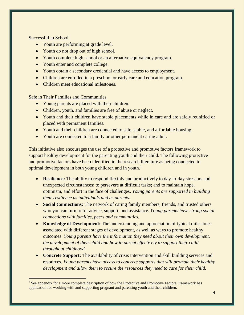#### Successful in School

- Youth are performing at grade level.
- Youth do not drop out of high school.
- Youth complete high school or an alternative equivalency program.
- Youth enter and complete college.
- Youth obtain a secondary credential and have access to employment.
- Children are enrolled in a preschool or early care and education program.
- Children meet educational milestones.

### Safe in Their Families and Communities

- Young parents are placed with their children.
- Children, youth, and families are free of abuse or neglect.
- Youth and their children have stable placements while in care and are safely reunified or placed with permanent families.
- Youth and their children are connected to safe, stable, and affordable housing.
- Youth are connected to a family or other permanent caring adult.

This initiative also encourages the use of a protective and promotive factors framework to support healthy development for the parenting youth and their child. The following protective and promotive factors have been identified in the research literature as being connected to optimal development in both young children and in youth.<sup>[1](#page-3-0)</sup>

- **Resilience:** The ability to respond flexibly and productively to day-to-day stressors and unexpected circumstances; to persevere at difficult tasks; and to maintain hope, optimism, and effort in the face of challenges. *Young parents are supported in building their resilience as individuals and as parents.*
- **Social Connections:** The network of caring family members, friends, and trusted others who you can turn to for advice, support, and assistance. *Young parents have strong social connections with families, peers and communities.*
- **Knowledge of Development:** The understanding and appreciation of typical milestones associated with different stages of development, as well as ways to promote healthy outcomes. *Young parents have the information they need about their own development, the development of their child and how to parent effectively to support their child throughout childhood.*
- **Concrete Support:** The availability of crisis intervention and skill building services and resources. *Young parents have access to concrete supports that will promote their healthy development and allow them to secure the resources they need to care for their child.*

<span id="page-3-0"></span><sup>&</sup>lt;sup>1</sup> See appendix for a more complete description of how the Protective and Promotive Factors Framework has application for working with and supporting pregnant and parenting youth and their children.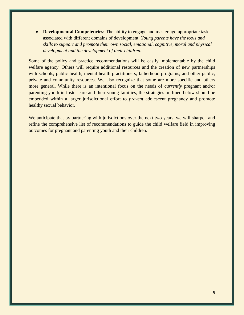• **Developmental Competencies:** The ability to engage and master age-appropriate tasks associated with different domains of development. *Young parents have the tools and skills to support and promote their own social, emotional, cognitive, moral and physical development and the development of their children.*

Some of the policy and practice recommendations will be easily implementable by the child welfare agency. Others will require additional resources and the creation of new partnerships with schools, public health, mental health practitioners, fatherhood programs, and other public, private and community resources. We also recognize that some are more specific and others more general. While there is an intentional focus on the needs of *currently* pregnant and/or parenting youth in foster care and their young families, the strategies outlined below should be embedded within a larger jurisdictional effort to *prevent* adolescent pregnancy and promote healthy sexual behavior.

We anticipate that by partnering with jurisdictions over the next two years, we will sharpen and refine the comprehensive list of recommendations to guide the child welfare field in improving outcomes for pregnant and parenting youth and their children.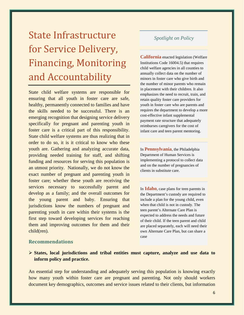# State Infrastructure for Service Delivery, Financing, Monitoring and Accountability

State child welfare systems are responsible for ensuring that all youth in foster care are safe, healthy, permanently connected to families and have the skills needed to be successful. There is an emerging recognition that designing service delivery specifically for pregnant and parenting youth in foster care is a critical part of this responsibility. State child welfare systems are thus realizing that in order to do so, it is it critical to know who these youth are. Gathering and analyzing accurate data, providing needed training for staff, and shifting funding and resources for serving this population is an utmost priority. Nationally, we do not know the exact number of pregnant and parenting youth in foster care; whether these youth are receiving the services necessary to successfully parent and develop as a family; and the overall outcomes for the young parent and baby. Ensuring that jurisdictions know the numbers of pregnant and parenting youth in care within their systems is the first step toward developing services for reaching them and improving outcomes for them and their child(ren).

### *Spotlight on Policy*

**California** enacted legislation (Welfare Institutions Code 16004.5) that requires child welfare agencies in all counties to annually collect data on the number of minors in foster care who give birth and the number of minor parents who remain in placement with their children. It also emphasizes the need to recruit, train, and retain quality foster care providers for youth in foster care who are parents and requires the department to develop a more cost-effective infant supplemental payment rate structure that adequately reimburses caregivers for the cost of infant care and teen parent mentoring.

In **Pennsylvania**, the Philadelphia Department of Human Services is implementing a protocol to collect data and on the number of pregnancies of clients in substitute care.

In **Idaho**, case plans for teen parents in the Department's custody are required to include a plan for the young child, even when that child is not in custody. The teen parent's Alternate Care Plan is expected to address the needs and future of their child. If the teen parent and child are placed separately, each will need their own Alternate Care Plan, but can share a case

#### **Recommendations**

 **States, local jurisdictions and tribal entities must capture, analyze and use data to inform policy and practice.** 

An essential step for understanding and adequately serving this population is knowing exactly how many youth within foster care are pregnant and parenting. Not only should workers document key demographics, outcomes and service issues related to their clients, but information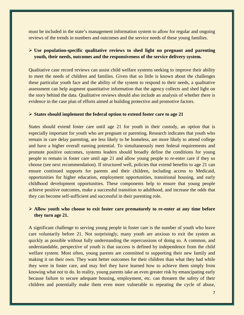must be included in the state's management information system to allow for regular and ongoing reviews of the trends in numbers and outcomes and the service needs of these young families.

### **Use population-specific qualitative reviews to shed light on pregnant and parenting youth, their needs, outcomes and the responsiveness of the service delivery system.**

Qualitative case record reviews can assist child welfare systems seeking to improve their ability to meet the needs of children and families. Given that so little is known about the challenges these particular youth face and the ability of the system to respond to their needs, a qualitative assessment can help augment quantitative information that the agency collects and shed light on the story behind the data. Qualitative reviews should also include an analysis of whether there is evidence in the case plan of efforts aimed at building protective and promotive factors.

#### **States should implement the federal option to extend foster care to age 21**

States should extend foster care until age 21 for youth in their custody, an option that is especially important for youth who are pregnant or parenting. Research indicates that youth who remain in care delay parenting, are less likely to be homeless, are more likely to attend college and have a higher overall earning potential. To simultaneously meet federal requirements and promote positive outcomes, systems leaders should broadly define the conditions for young people to remain in foster care until age 21 and allow young people to re-enter care if they so choose (see next recommendation). If structured well, policies that extend benefits to age 21 can ensure continued supports for parents and their children, including access to Medicaid, opportunities for higher education, employment opportunities, transitional housing, and early childhood development opportunities. These components help to ensure that young people achieve positive outcomes, make a successful transition to adulthood, and increase the odds that they can become self-sufficient and successful in their parenting role.

#### **Allow youth who choose to exit foster care prematurely to re-enter at any time before they turn age 21.**

A significant challenge to serving young people in foster care is the number of youth who leave care voluntarily before 21. Not surprisingly, many youth are anxious to exit the system as quickly as possible without fully understanding the repercussions of doing so. A common, and understandable, perspective of youth is that success is defined by independence from the child welfare system. Most often, young parents are committed to supporting their new family and making it on their own. They want better outcomes for their children than what they had while they were in foster care, and may feel they have learned how to achieve them simply from knowing what *not* to do. In reality, young parents take an even greater risk by emancipating early because failure to secure adequate housing, employment, etc. can threaten the safety of their children and potentially make them even more vulnerable to repeating the cycle of abuse,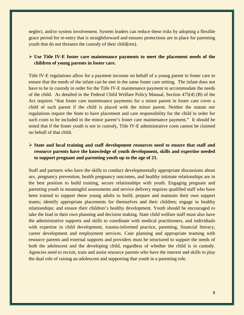neglect, and/or system involvement. System leaders can reduce these risks by adopting a flexible grace period for re-entry that is straightforward and ensures protections are in place for parenting youth that do not threaten the custody of their child(ren).

#### **Use Title IV-E foster care maintenance payments to meet the placement needs of the children of young parents in foster care.**

Title IV-E regulations allow for a payment increase on behalf of a young parent in foster care to ensure that the needs of the infant can be met in the same foster care setting. The infant does not have to be in custody in order for the Title IV-E maintenance payment to accommodate the needs of the child. As detailed in the Federal Child Welfare Policy Manual, Section 475(4) (B) of the Act requires "that foster care maintenance payments for a minor parent in foster care cover a child of such parent if the child is placed with the minor parent. Neither the statute nor regulations require the State to have placement and care responsibility for the child in order for such costs to be included in the minor parent's foster care maintenance payment." It should be noted that if the foster youth is not in custody, Title IV-E administrative costs cannot be claimed on behalf of that child.

## **State and local training and staff development resources need to ensure that staff and resource parents have the knowledge of youth development, skills and expertise needed to support pregnant and parenting youth up to the age of 21.**

Staff and partners who have the skills to conduct developmentally appropriate discussions about sex, pregnancy prevention, health pregnancy outcomes, and healthy intimate relationships are in the best position to build trusting, secure relationships with youth. Engaging pregnant and parenting youth in meaningful assessments and service delivery requires qualified staff who have been trained to support these young adults to build, prepare and maintain their own support teams; identify appropriate placements for themselves and their children; engage in healthy relationships; and ensure their children's healthy development. Youth should be encouraged to take the lead in their own planning and decision making. State child welfare staff must also have the administrative supports and skills to coordinate with medical practitioners, and individuals with expertise in child development, trauma-informed practice, parenting, financial literacy, career development and employment services. Case planning and appropriate teaming with resource parents and external supports and providers must be structured to support the needs of both the adolescent and the developing child, regardless of whether the child is in custody. Agencies need to recruit, train and assist resource parents who have the interest and skills to play the dual role of raising an adolescent and supporting that youth in a parenting role.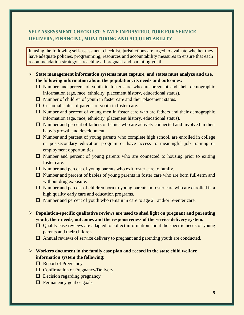# **SELF ASSESSMENT CHECKLIST: STATE INFRASTRUCTURE FOR SERVICE DELIVERY, FINANCING, MONITORING AND ACCOUNTABILITY**

In using the following self-assessment checklist, jurisdictions are urged to evaluate whether they have adequate policies, programming, resources and accountability measures to ensure that each recommendation strategy is reaching all pregnant and parenting youth.

#### **State management information systems must capture, and states must analyze and use, the following information about the population, its needs and outcomes:**

- $\Box$  Number and percent of youth in foster care who are pregnant and their demographic information (age, race, ethnicity, placement history, educational status).
- $\Box$  Number of children of youth in foster care and their placement status.
- $\Box$  Custodial status of parents of youth in foster care.
- $\Box$  Number and percent of young men in foster care who are fathers and their demographic information (age, race, ethnicity, placement history, educational status).
- $\Box$  Number and percent of fathers of babies who are actively connected and involved in their baby's growth and development.
- $\Box$  Number and percent of young parents who complete high school, are enrolled in college or postsecondary education program or have access to meaningful job training or employment opportunities.
- $\Box$  Number and percent of young parents who are connected to housing prior to exiting foster care.
- $\Box$  Number and percent of young parents who exit foster care to family.
- $\Box$  Number and percent of babies of young parents in foster care who are born full-term and without drug exposure.
- $\Box$  Number and percent of children born to young parents in foster care who are enrolled in a high quality early care and education programs.
- $\Box$  Number and percent of youth who remain in care to age 21 and/or re-enter care.
- **Population-specific qualitative reviews are used to shed light on pregnant and parenting youth, their needs, outcomes and the responsiveness of the service delivery system.** 
	- $\Box$  Quality case reviews are adapted to collect information about the specific needs of young parents and their children.
	- $\Box$  Annual reviews of service delivery to pregnant and parenting youth are conducted.

### **Workers document in the family case plan and record in the state child welfare information system the following:**

- $\Box$  Report of Pregnancy
- $\Box$  Confirmation of Pregnancy/Delivery
- $\Box$  Decision regarding pregnancy
- $\Box$  Permanency goal or goals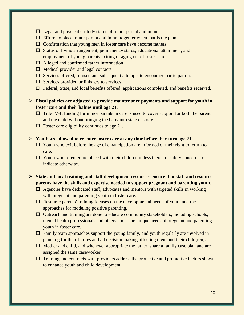- $\Box$  Legal and physical custody status of minor parent and infant.
- $\Box$  Efforts to place minor parent and infant together when that is the plan.
- $\Box$  Confirmation that young men in foster care have become fathers.
- $\Box$  Status of living arrangement, permanency status, educational attainment, and employment of young parents exiting or aging out of foster care.
- $\Box$  Alleged and confirmed father information
- $\Box$  Medical provider and legal contacts
- $\Box$  Services offered, refused and subsequent attempts to encourage participation.
- $\Box$  Services provided or linkages to services
- $\Box$  Federal, State, and local benefits offered, applications completed, and benefits received.
- **Fiscal policies are adjusted to provide maintenance payments and support for youth in foster care and their babies until age 21.**
	- $\Box$  Title IV-E funding for minor parents in care is used to cover support for both the parent and the child without bringing the baby into state custody.
	- Foster care eligibility continues to age 21**.**
- **Youth are allowed to re-enter foster care at any time before they turn age 21.** 
	- $\Box$  Youth who exit before the age of emancipation are informed of their right to return to care.
	- $\Box$  Youth who re-enter are placed with their children unless there are safety concerns to indicate otherwise.
- **State and local training and staff development resources ensure that staff and resource parents have the skills and expertise needed to support pregnant and parenting youth.** 
	- $\Box$  Agencies have dedicated staff, advocates and mentors with targeted skills in working with pregnant and parenting youth in foster care.
	- $\Box$  Resource parents' training focuses on the developmental needs of youth and the approaches for modeling positive parenting.
	- $\Box$  Outreach and training are done to educate community stakeholders, including schools, mental health professionals and others about the unique needs of pregnant and parenting youth in foster care.
	- $\Box$  Family team approaches support the young family, and youth regularly are involved in planning for their futures and all decision making affecting them and their child(ren).
	- $\Box$  Mother and child, and whenever appropriate the father, share a family case plan and are assigned the same caseworker.
	- $\Box$  Training and contracts with providers address the protective and promotive factors shown to enhance youth and child development.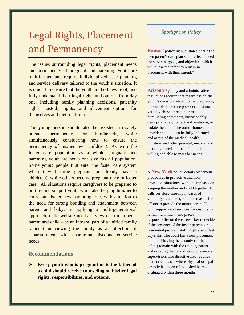# Legal Rights, Placement and Permanency

The issues surrounding legal rights, placement needs and permanency of pregnant and parenting youth are multifaceted and require individualized case planning and service delivery tailored to the youth's situation. It is crucial to ensure that the youth are both aware of, and fully understand their legal rights and options from day one, including family planning decisions, paternity rights, custody rights, and placement options for themselves and their children.

The young person should also be assisted to safely pursue permanency for him/herself, while simultaneously considering how to ensure the permanency of his/her own child(ren). As with the foster care population as a whole, pregnant and parenting youth are not a one size fits all population. Some young people first enter the foster care system when they become pregnant, or already have a child(ren), while others become pregnant once in foster care. All situations require caregivers to be prepared to nurture and support youth while also helping him/her to carry out his/her new parenting role, with attention to the need for strong bonding and attachment between parent and baby. In applying a multi-generational approach, child welfare needs to view each member – parent and child – as an integral part of a unified family rather than viewing the family as a collection of separate clients with separate and disconnected service needs.

#### **Recommendations**

 **Every youth who is pregnant or is the father of a child should receive counseling on his/her legal rights, responsibilities, and options.** 

# *Spotlight on Policy*

**Kansas'** policy manual states that "The teen parent's case plan shall reflect a need for services, goals, and objectives which will allow the infant to remain in placement with their parent."

**Arizona's** policy and administrative regulations require that regardless of the youth's decision related to the pregnancy, the out-of-home care provider must not verbally abuse, threaten or make humiliating comments, unreasonably deny privileges, contact and visitation, or isolate the child. The out-of-home care provider should also be fully informed and aware of the medical, health, nutrition, and other prenatal, medical and emotional needs of the child and be willing and able to meet her needs.

A **New York** policy details placement procedures in protective and nonprotective situations, with an emphasis on keeping the mother and child together. It calls for close scrutiny in cases of voluntary agreement, requires reasonable efforts to provide the minor parent (s) with supports and services for custody to remain with them, and places responsibility on the caseworker to decide if the presence of the foster parents or residential program staff might also offset any risks. The court has a non-placement option of having the custody (of the infant) remain with the (minor) parent and ordering the local district to exercise supervision. The directive also requires that current cases where physical or legal custody had been relinquished be reevaluated within three months.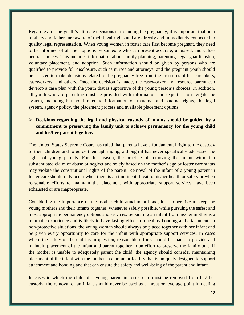Regardless of the youth's ultimate decisions surrounding the pregnancy, it is important that both mothers and fathers are aware of their legal rights and are directly and immediately connected to quality legal representation. When young women in foster care first become pregnant, they need to be informed of all their options by someone who can present accurate, unbiased, and valueneutral choices. This includes information about family planning, parenting, legal guardianship, voluntary placement, and adoption. Such information should be given by persons who are qualified to provide full disclosure, such as nurses and attorneys, and the pregnant youth should be assisted to make decisions related to the pregnancy free from the pressures of her caretakers, caseworkers, and others. Once the decision is made, the caseworker and resource parent can develop a case plan with the youth that is supportive of the young person's choices. In addition, all youth who are parenting must be provided with information and expertise to navigate the system, including but not limited to information on maternal and paternal rights, the legal system, agency policy, the placement process and available placement options.

## **Decisions regarding the legal and physical custody of infants should be guided by a commitment to preserving the family unit to achieve permanency for the young child and his/her parent together.**

The United States Supreme Court has ruled that parents have a fundamental right to the custody of their children and to guide their upbringing, although it has never specifically addressed the rights of young parents. For this reason, the practice of removing the infant without a substantiated claim of abuse or neglect and solely based on the mother's age or foster care status may violate the constitutional rights of the parent. Removal of the infant of a young parent in foster care should only occur when there is an imminent threat to his/her health or safety or when reasonable efforts to maintain the placement with appropriate support services have been exhausted or are inappropriate.

Considering the importance of the mother-child attachment bond, it is imperative to keep the young mothers and their infants together, whenever safely possible, while pursuing the safest and most appropriate permanency options and services. Separating an infant from his/her mother is a traumatic experience and is likely to have lasting effects on healthy bonding and attachment. In non-protective situations, the young woman should always be placed together with her infant and be given every opportunity to care for the infant with appropriate support services. In cases where the safety of the child is in question, reasonable efforts should be made to provide and maintain placement of the infant and parent together in an effort to preserve the family unit. If the mother is unable to adequately parent the child, the agency should consider maintaining placement of the infant with the mother in a home or facility that is uniquely designed to support attachment and bonding and that can ensure the safety and well-being of the parent and infant.

In cases in which the child of a young parent in foster care must be removed from his/ her custody, the removal of an infant should never be used as a threat or leverage point in dealing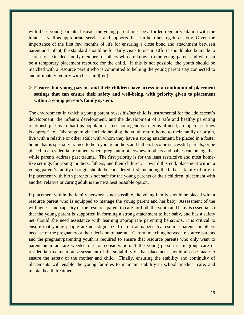with these young parents. Instead, the young parent must be afforded regular visitation with the infant as well as appropriate services and supports that can help her regain custody. Given the importance of the first few months of life for ensuring a close bond and attachment between parent and infant, the standard should be for daily visits to occur. Efforts should also be made to search for extended family members or others who are known to the young parent and who can be a temporary placement resource for the child. If this is not possible, the youth should be matched with a resource parent who is committed to helping the young parent stay connected to and ultimately reunify with her child(ren).

## **Ensure that young parents and their children have access to a continuum of placement settings that can ensure their safety and well-being, with priority given to placement within a young person's family system.**

The environment in which a young parent raises his/her child is instrumental for the adolescent's development, the infant's development, and the development of a safe and healthy parenting relationship. Given that this population is not homogenous in terms of need, a range of settings is appropriate. This range might include helping the youth return home to their family of origin, live with a relative or other adult with whom they have a strong attachment, be placed in a foster home that is specially trained to help young mothers and fathers become successful parents, or be placed in a residential treatment where pregnant mothers/new mothers and babies can be together while parents address past trauma. The first priority is for the least restrictive and most homelike settings for young mothers, fathers, and their children. Toward this end, placement within a young parent's family of origin should be considered first, including the father's family of origin. If placement with birth parents is not safe for the young parents or their children, placement with another relative or caring adult is the next best possible option.

If placement within the family network is not possible, the young family should be placed with a resource parent who is equipped to manage the young parent and her baby. Assessment of the willingness and capacity of the resource parent to care for both the youth and baby is essential so that the young parent is supported in forming a strong attachment to her baby, and has a safety net should she need assistance with learning appropriate parenting behaviors. It is critical to ensure that young people are not stigmatized or re-traumatized by resource parents or others because of the pregnancy or their decision to parent. Careful matching between resource parents and the pregnant/parenting youth is required to ensure that resource parents who only want to parent an infant are weeded out for consideration. If the young person is in group care or residential treatment, an assessment of the suitability of that placement should also be made to ensure the safety of the mother and child. Finally, ensuring the stability and continuity of placements will enable the young families to maintain stability in school, medical care, and mental health treatment.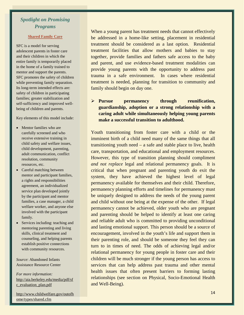# *Spotlight on Promising Programs*

#### **Shared Family Care**

SFC is a model for serving adolescent parents in foster care and their children in which the entire family is temporarily placed in the home of a family trained to mentor and support the parents. SFC promotes the safety of children while preventing family separation. Its long-term intended effects are: safety of children in participating families; greater stabilization and self-sufficiency and improved wellbeing of children and parents.

Key elements of this model include:

- Mentor families who are carefully screened and who receive extensive training in child safety and welfare issues, child development, parenting, adult communication, conflict resolution, community resources, etc.
- Careful matching between mentor and participant families, a rights and responsibilities agreement, an individualized service plan developed jointly by the participant and mentor families, a case manager, a child welfare worker, and anyone else involved with the participant family.
- Services including: teaching and mentoring parenting and living skills, clinical treatment and counseling, and helping parents establish positive connections with community resources.

*Source*: Abandoned Infants Assistance Resource Center

*For more information:*  [http://aia.berkeley.edu/media/pdf/sf](http://aia.berkeley.edu/media/pdf/sfc_evaluation_plan.pdf) [c\\_evaluation\\_plan.pdf](http://aia.berkeley.edu/media/pdf/sfc_evaluation_plan.pdf)

[http://www.childwelfare.gov/outofh](http://www.childwelfare.gov/outofhome/types/shared.cfm) [ome/types/shared.cfm](http://www.childwelfare.gov/outofhome/types/shared.cfm)

When a young parent has treatment needs that cannot effectively be addressed in a home-like setting, placement in residential treatment should be considered as a last option. Residential treatment facilities that allow mothers and babies to stay together, provide families and fathers safe access to the baby and parent, and use evidence-based treatment modalities can provide young parents with the opportunity to address past trauma in a safe environment. In cases where residential treatment is needed, planning for transition to community and family should begin on day one.

 **Pursue permanency through reunification, guardianship, adoption or a strong relationship with a caring adult while simultaneously helping young parents make a successful transition to adulthood.**

Youth transitioning from foster care with a child or the imminent birth of a child need many of the same things that all transitioning youth need – a safe and stable place to live, health care, transportation, and educational and employment resources. However, this type of transition planning should compliment *and not replace* legal and relational permanency goals. It is critical that when pregnant and parenting youth do exit the system, they have achieved the highest level of legal permanency available for themselves and their child. Therefore, permanency planning efforts and timelines for permanency must be uniquely designed to address the needs of the young parent and child without one being at the expense of the other. If legal permanency cannot be achieved, older youth who are pregnant and parenting should be helped to identify at least one caring and reliable adult who is committed to providing unconditional and lasting emotional support. This person should be a source of encouragement, involved in the youth's life and support them in their parenting role, and should be someone they feel they can turn to in times of need. The odds of achieving legal and/or relational permanency for young people in foster care and their children will be much stronger if the young person has access to services that can help address past trauma and other mental health issues that often present barriers to forming lasting relationships (see section on Physical, Socio-Emotional Health and Well-Being).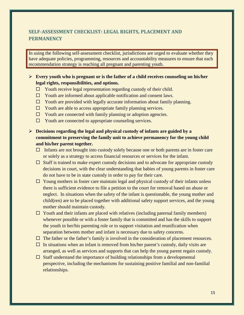# **SELF-ASSESSMENT CHECKLIST: LEGAL RIGHTS, PLACEMENT AND PERMANENCY**

In using the following self-assessment checklist, jurisdictions are urged to evaluate whether they have adequate policies, programming, resources and accountability measures to ensure that each recommendation strategy is reaching all pregnant and parenting youth.

### **Every youth who is pregnant or is the father of a child receives counseling on his/her legal rights, responsibilities, and options.**

- $\Box$  Youth receive legal representation regarding custody of their child.
- $\Box$  Youth are informed about applicable notification and consent laws.
- $\Box$  Youth are provided with legally accurate information about family planning.
- $\Box$  Youth are able to access appropriate family planning services.
- $\Box$  Youth are connected with family planning or adoption agencies.
- $\Box$  Youth are connected to appropriate counseling services.
- **Decisions regarding the legal and physical custody of infants are guided by a commitment to preserving the family unit to achieve permanency for the young child and his/her parent together.**
	- $\Box$  Infants are not brought into custody solely because one or both parents are in foster care or solely as a strategy to access financial resources or services for the infant.
	- $\Box$  Staff is trained to make expert custody decisions and to advocate for appropriate custody decisions in court, with the clear understanding that babies of young parents in foster care do not have to be in state custody in order to pay for their care.
	- $\Box$  Young mothers in foster care maintain legal and physical custody of their infants unless there is sufficient evidence to file a petition to the court for removal based on abuse or neglect. In situations when the safety of the infant is questionable, the young mother and child(ren) are to be placed together with additional safety support services, and the young mother should maintain custody.
	- $\Box$  Youth and their infants are placed with relatives (including paternal family members) whenever possible or with a foster family that is committed and has the skills to support the youth in her/his parenting role or to support visitation and reunification when separation between mother and infant is necessary due to safety concerns.
	- $\Box$  The father or the father's family is involved in the consideration of placement resources.
	- $\Box$  In situations when an infant is removed from his/her parent's custody, daily visits are arranged, as well as services and supports that can help the young parent regain custody.
	- $\Box$  Staff understand the importance of building relationships from a developmental perspective, including the mechanisms for sustaining positive familial and non-familial relationships.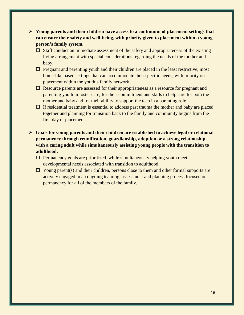- **Young parents and their children have access to a continuum of placement settings that can ensure their safety and well-being, with priority given to placement within a young person's family system.**
	- $\Box$  Staff conduct an immediate assessment of the safety and appropriateness of the existing living arrangement with special considerations regarding the needs of the mother and baby.
	- $\Box$  Pregnant and parenting youth and their children are placed in the least restrictive, most home-like based settings that can accommodate their specific needs, with priority on placement within the youth's family network.
	- $\Box$  Resource parents are assessed for their appropriateness as a resource for pregnant and parenting youth in foster care, for their commitment and skills to help care for both the mother and baby and for their ability to support the teen in a parenting role.
	- $\Box$  If residential treatment is essential to address past trauma the mother and baby are placed together and planning for transition back to the family and community begins from the first day of placement.
- **Goals for young parents and their children are established to achieve legal or relational permanency through reunification, guardianship, adoption or a strong relationship with a caring adult while simultaneously assisting young people with the transition to adulthood.**
	- $\Box$  Permanency goals are prioritized, while simultaneously helping youth meet developmental needs associated with transition to adulthood.
	- $\Box$  Young parent(s) and their children, persons close to them and other formal supports are actively engaged in an ongoing teaming, assessment and planning process focused on permanency for all of the members of the family.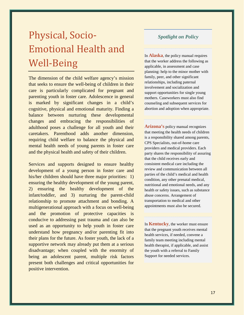# Physical, Socio-Emotional Health and Well-Being

The dimension of the child welfare agency's mission that seeks to ensure the well-being of children in their care is particularly complicated for pregnant and parenting youth in foster care. Adolescence in general is marked by significant changes in a child's cognitive, physical and emotional maturity. Finding a balance between nurturing these developmental changes and embracing the responsibilities of adulthood poses a challenge for all youth and their caretakers. Parenthood adds another dimension, requiring child welfare to balance the physical and mental health needs of young parents in foster care and the physical health and safety of their children.

Services and supports designed to ensure healthy development of a young person in foster care and his/her children should have three major priorities: 1) ensuring the healthy development of the young parent, 2) ensuring the healthy development of the infant/toddler, and 3) nurturing the parent-child relationship to promote attachment and bonding. A multigenerational approach with a focus on well-being and the promotion of protective capacities is conducive to addressing past trauma and can also be used as an opportunity to help youth in foster care understand how pregnancy and/or parenting fit into their plans for the future. As foster youth, the lack of a supportive network may already put them at a serious disadvantage; when coupled with the enormity of being an adolescent parent, multiple risk factors present both challenges and critical opportunities for positive intervention.

## *Spotlight on Policy*

In **Alaska**, the policy manual requires that the worker address the following as applicable, in assessment and case planning: help to the minor mother with family, peer, and other significant relationships, including paternal involvement and socialization and support opportunities for single young mothers. Caseworkers must also find counseling and subsequent services for abortion and adoption when appropriate.

**Arizona's** policy manual recognizes that meeting the health needs of children is a responsibility shared among parents, CPS Specialists, out-of-home care providers and medical providers. Each party shares the responsibility of assuring that the child receives early and consistent medical care including the review and communication between all parties of the child's medical and health condition, any other prenatal medical, nutritional and emotional needs, and any health or safety issues, such as substance abuse concerns. Arrangement of transportation to medical and other appointments must also be secured.

In **Kentucky**, the worker must ensure that the pregnant youth receives mental health services, if needed, convene a family team meeting including mental health therapist, if applicable, and assist the youth with a referral to Family Support for needed services.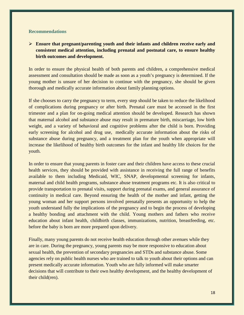#### **Recommendations**

 **Ensure that pregnant/parenting youth and their infants and children receive early and consistent medical attention, including prenatal and postnatal care, to ensure healthy birth outcomes and development.**

In order to ensure the physical health of both parents and children, a comprehensive medical assessment and consultation should be made as soon as a youth's pregnancy is determined. If the young mother is unsure of her decision to continue with the pregnancy, she should be given thorough and medically accurate information about family planning options.

If she chooses to carry the pregnancy to term, every step should be taken to reduce the likelihood of complications during pregnancy or after birth. Prenatal care must be accessed in the first trimester and a plan for on-going medical attention should be developed. Research has shown that maternal alcohol and substance abuse may result in premature birth, miscarriage, low birth weight, and a variety of behavioral and cognitive problems after the child is born. Providing early screening for alcohol and drug use, medically accurate information about the risks of substance abuse during pregnancy, and a treatment plan for the youth when appropriate will increase the likelihood of healthy birth outcomes for the infant and healthy life choices for the youth.

In order to ensure that young parents in foster care and their children have access to these crucial health services, they should be provided with assistance in receiving the full range of benefits available to them including Medicaid, WIC, SNAP, developmental screening for infants, maternal and child health programs, substance abuse treatment programs etc. It is also critical to provide transportation to prenatal visits, support during prenatal exams, and general assurance of continuity in medical care. Beyond ensuring the health of the mother and infant, getting the young woman and her support persons involved prenatally presents an opportunity to help the youth understand fully the implications of the pregnancy and to begin the process of developing a healthy bonding and attachment with the child. Young mothers and fathers who receive education about infant health, childbirth classes, immunizations, nutrition, breastfeeding, etc. before the baby is born are more prepared upon delivery.

Finally, many young parents do not receive health education through other avenues while they are in care. During the pregnancy, young parents may be more responsive to education about sexual health, the prevention of secondary pregnancies and STDs and substance abuse. Some agencies rely on public health nurses who are trained to talk to youth about their options and can present medically accurate information. Youth who are fully informed will make smarter decisions that will contribute to their own healthy development, and the healthy development of their child(ren).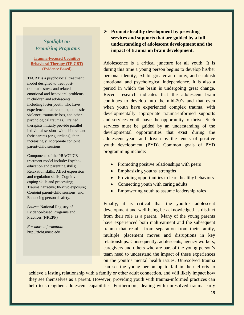# *Spotlight on Promising Programs*

#### **Trauma-Focused Cognitive Behavioral Therapy (TF-CBT) (Evidence Based)**

TFCBT is a psychosocial treatment model designed to treat posttraumatic stress and related emotional and behavioral problems in children and adolescents, including foster youth, who have experienced maltreatment, domestic violence, traumatic loss, and other psychological traumas. Trained therapists initially provide parallel individual sessions with children and their parents (or guardians), then increasingly incorporate conjoint parent-child sessions.

Components of the PRACTICE treatment model include: Psychoeducation and parenting skills; Relaxation skills; Affect expression and regulation skills; Cognitive coping skills and processing; Trauma narrative; In-Vivo exposure; Conjoint parent-child sessions; and, Enhancing personal safety.

*Source*: National Registry of Evidence-based Programs and Practices (NREPP)

*For more information*: [http://tfcbt.musc.edu](http://tfcbt.musc.edu/)

## **Promote healthy development by providing services and supports that are guided by a full understanding of adolescent development and the impact of trauma on brain development.**

Adolescence is a critical juncture for all youth. It is during this time a young person begins to develop his/her personal identity, exhibit greater autonomy, and establish emotional and psychological independence. It is also a period in which the brain is undergoing great change. Recent research indicates that the adolescent brain continues to develop into the mid-20's and that even when youth have experienced complex trauma, with developmentally appropriate trauma-informed supports and services youth have the opportunity to thrive. Such services must be guided by an understanding of the developmental opportunities that exist during the adolescent years and driven by the tenets of positive youth development (PYD). Common goals of PYD programming include:

- Promoting positive relationships with peers
- Emphasizing youths' strengths
- Providing opportunities to learn healthy behaviors
- Connecting youth with caring adults
- Empowering youth to assume leadership roles

Finally, it is critical that the youth's adolescent development and well-being be acknowledged as distinct from their role as a parent. Many of the young parents have experienced both maltreatment and the subsequent trauma that results from separation from their family, multiple placement moves and disruptions in key relationships. Consequently, adolescents, agency workers, caregivers and others who are part of the young person's team need to understand the impact of these experiences on the youth's mental health issues. Unresolved trauma can set the young person up to fail in their efforts to

achieve a lasting relationship with a family or other adult connection, and will likely impact how they see themselves as a parent. However, providing youth with trauma-informed practices can help to strengthen adolescent capabilities. Furthermore, dealing with unresolved trauma early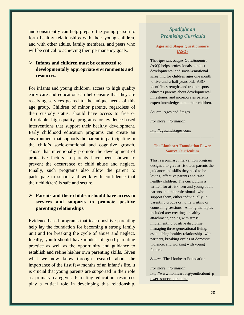and consistently can help prepare the young person to form healthy relationships with their young children, and with other adults, family members, and peers who will be critical to achieving their permanency goals.

## **Infants and children must be connected to developmentally appropriate environments and resources.**

For infants and young children, access to high quality early care and education can help ensure that they are receiving services geared to the unique needs of this age group. Children of minor parents, regardless of their custody status, should have access to free or affordable high-quality programs or evidence-based interventions that support their healthy development. Early childhood education programs can create an environment that supports the parent in participating in the child's socio-emotional and cognitive growth. Those that intentionally promote the development of protective factors in parents have been shown to prevent the occurrence of child abuse and neglect. Finally, such programs also allow the parent to participate in school and work with confidence that their child(ren) is safe and secure.

## **Parents and their children should have access to services and supports to promote positive parenting relationships.**

Evidence-based programs that teach positive parenting help lay the foundation for becoming a strong family unit and for breaking the cycle of abuse and neglect. Ideally, youth should have models of good parenting practice as well as the opportunity and guidance to establish and refine his/her own parenting skills. Given what we now know through research about the importance of the first few months of an infant's life, it is crucial that young parents are supported in their role as primary caregiver. Parenting education resources play a critical role in developing this relationship.

## *Spotlight on Promising Curricula*

#### **Ages and Stages Questionnaire (ASQ)**

The *Ages and Stages Questionnaire (ASQ)* helps professionals conduct developmental and social-emotional screening for children ages one month to five-and-a-half years old. ASQ identifies strengths and trouble spots, educates parents about developmental milestones, and incorporates parents' expert knowledge about their children.

*Source*: Ages and Stages

*For more information*:

<http://agesandstages.com/>

#### **The Lionheart Foundation Power Source Curriculum**

**\_\_\_\_\_\_\_\_\_\_\_\_\_\_\_\_\_\_\_\_\_\_\_\_\_\_\_\_\_**

This is a primary intervention program designed to give at-risk teen parents the guidance and skills they need to be loving, effective parents and raise healthy children. The curriculum is written for at-risk teen and young adult parents and the professionals who support them, either individually, in parenting groups or home visiting or counseling sessions. Among the topics included are: creating a healthy attachment, coping with stress, implementing positive discipline, managing three-generational living, establishing healthy relationships with partners, breaking cycles of domestic violence, and working with young fathers.

*Source*: The Lionheart Foundation

#### *For more information*:

[http://www.lionheart.org/youth/about\\_p](http://www.lionheart.org/youth/about_power_source_parenting) [ower\\_source\\_parenting](http://www.lionheart.org/youth/about_power_source_parenting)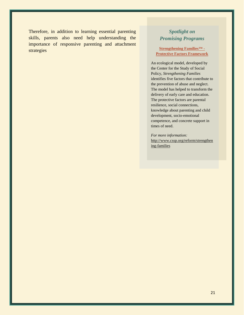Therefore, in addition to learning essential parenting skills, parents also need help understanding the importance of responsive parenting and attachment strategies

# *Spotlight on Promising Programs*

#### **Strengthening Families™ - Protective Factors Framework**

An ecological model, developed by the Center for the Study of Social Policy, *Strengthening Families* identifies five factors that contribute to the prevention of abuse and neglect. The model has helped to transform the delivery of early care and education. The protective factors are parental resilience, social connections, knowledge about parenting and child development, socio-emotional competence, and concrete support in times of need.

*For more information:*  [http://www.cssp.org/reform/strengthen](http://www.cssp.org/reform/strengthening-families) [ing-families](http://www.cssp.org/reform/strengthening-families)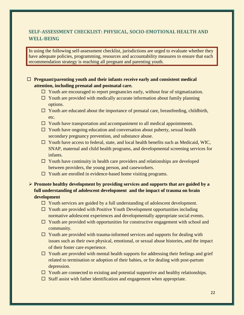# **SELF-ASSESSMENT CHECKLIST: PHYSICAL, SOCIO-EMOTIONAL HEALTH AND WELL-BEING**

In using the following self-assessment checklist, jurisdictions are urged to evaluate whether they have adequate policies, programming, resources and accountability measures to ensure that each recommendation strategy is reaching all pregnant and parenting youth.

#### **Pregnant/parenting youth and their infants receive early and consistent medical attention, including prenatal and postnatal care.**

- $\Box$  Youth are encouraged to report pregnancies early, without fear of stigmatization.
- $\Box$  Youth are provided with medically accurate information about family planning options.
- $\Box$  Youth are educated about the importance of prenatal care, breastfeeding, childbirth, etc.
- $\Box$  Youth have transportation and accompaniment to all medical appointments.
- $\Box$  Youth have ongoing education and conversation about puberty, sexual health secondary pregnancy prevention, and substance abuse.
- $\Box$  Youth have access to federal, state, and local health benefits such as Medicaid, WIC, SNAP, maternal and child health programs, and developmental screening services for infants.
- $\Box$  Youth have continuity in health care providers and relationships are developed between providers, the young person, and caseworkers.
- $\Box$  Youth are enrolled in evidence-based home visiting programs.

**Promote healthy development by providing services and supports that are guided by a full understanding of adolescent development and the impact of trauma on brain development**

- $\Box$  Youth services are guided by a full understanding of adolescent development.
- $\Box$  Youth are provided with Positive Youth Development opportunities including normative adolescent experiences and developmentally appropriate social events.
- $\Box$  Youth are provided with opportunities for constructive engagement with school and community.
- $\Box$  Youth are provided with trauma-informed services and supports for dealing with issues such as their own physical, emotional, or sexual abuse histories, and the impact of their foster care experience.
- $\Box$  Youth are provided with mental health supports for addressing their feelings and grief related to termination or adoption of their babies, or for dealing with post-partum depression.
- $\Box$  Youth are connected to existing and potential supportive and healthy relationships.
- $\Box$  Staff assist with father identification and engagement when appropriate.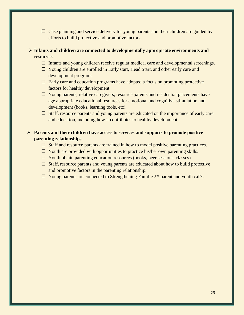- $\Box$  Case planning and service delivery for young parents and their children are guided by efforts to build protective and promotive factors.
- **Infants and children are connected to developmentally appropriate environments and resources.**
	- $\Box$  Infants and young children receive regular medical care and developmental screenings.
	- $\Box$  Young children are enrolled in Early start, Head Start, and other early care and development programs.
	- $\Box$  Early care and education programs have adopted a focus on promoting protective factors for healthy development.
	- $\Box$  Young parents, relative caregivers, resource parents and residential placements have age appropriate educational resources for emotional and cognitive stimulation and development (books, learning tools, etc).
	- $\Box$  Staff, resource parents and young parents are educated on the importance of early care and education, including how it contributes to healthy development.

## **Parents and their children have access to services and supports to promote positive parenting relationships.**

- $\Box$  Staff and resource parents are trained in how to model positive parenting practices.
- $\Box$  Youth are provided with opportunities to practice his/her own parenting skills.
- $\Box$  Youth obtain parenting education resources (books, peer sessions, classes).
- $\Box$  Staff, resource parents and young parents are educated about how to build protective and promotive factors in the parenting relationship.
- Young parents are connected to Strengthening Families™ parent and youth cafés.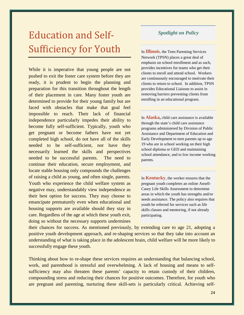# Education and Self-Sufficiency for Youth

While it is imperative that young people are not pushed to exit the foster care system before they are ready, it is prudent to begin the planning and preparation for this transition throughout the length of their placement in care. Many foster youth are determined to provide for their young family but are faced with obstacles that make that goal feel impossible to reach. Their lack of financial independence particularly impedes their ability to become fully self-sufficient. Typically, youth who get pregnant or become fathers have not yet completed high school, do not have all of the skills needed to be self-sufficient, nor have they necessarily learned the skills and perspectives needed to be successful parents. The need to continue their education, secure employment, and locate stable housing only compounds the challenges of raising a child as young, and often single, parents. Youth who experience the child welfare system as negative may, understandably view independence as their best option for success. They may choose to emancipate prematurely even when educational and housing supports are available should they stay in care. Regardless of the age at which these youth exit, doing so without the necessary supports undermines

## *Spotlight on Policy*

In **Illinois**, the Teen Parenting Services Network (TPSN) places a great deal of emphasis on school enrollment and as such, provides incentives for teams who get their clients to enroll and attend school. Workers are continuously encouraged to motivate their clients to return to school. In addition, TPSN provides Educational Liaisons to assist in removing barriers preventing clients from enrolling in an educational program.

In **Alaska,** child care assistance is available through the state's child care assistance programs administered by Division of Public Assistance and Department of Education and Early Development to teen parents up to age 19 who are in school working on their high school diploma or GED and maintaining school attendance, and to low income working parents.

In **Kentucky**, the worker ensures that the pregnant youth completes an online Ansell-Casey Life Skills Assessment to determine areas in which the youth has strengths and/or needs assistance. The policy also requires that youth be referred for services such as life skills classes and mentoring, if not already participating.

their chances for success. As mentioned previously, by extending care to age 21, adopting a positive youth development approach, and re-shaping services so that they take into account an understanding of what is taking place in the adolescent brain, child welfare will be more likely to successfully engage these youth.

Thinking about how to re-shape these services requires an understanding that balancing school, work, and parenthood is stressful and overwhelming. A lack of housing and means to selfsufficiency may also threaten these parents' capacity to retain custody of their children, compounding stress and reducing their chances for positive outcomes. Therefore, for youth who are pregnant and parenting, nurturing these skill-sets is particularly critical. Achieving self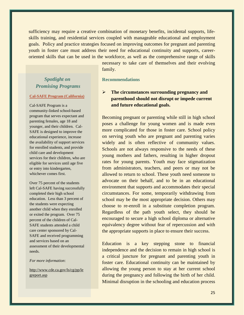sufficiency may require a creative combination of monetary benefits, incidental supports, lifeskills training, and residential services coupled with manageable educational and employment goals. Policy and practice strategies focused on improving outcomes for pregnant and parenting youth in foster care must address their need for educational continuity and supports, careeroriented skills that can be used in the workforce, as well as the comprehensive range of skills

family.

# *Spotlight on Promising Programs*

#### **Cal-SAFE Program (California)**

Cal-SAFE Program is a community-linked school-based program that serves expectant and parenting females, age 18 and younger, and their children. Cal-SAFE is designed to improve the educational experience, increase the availability of support services for enrolled students, and provide child care and development services for their children, who are eligible for services until age five or entry into kindergarten, whichever comes first.

Over 75 percent of the students left Cal-SAFE having successfully completed their high school education. Less than 3 percent of the students were expecting another child when they enrolled or exited the program. Over 75 percent of the children of Cal-SAFE students attended a child care center sponsored by Cal-SAFE and received programming and services based on an assessment of their developmental needs.

#### *For more information*:

[http://www.cde.ca.gov/ls/cg/pp/le](http://www.cde.ca.gov/ls/cg/pp/legreport.asp) [greport.asp](http://www.cde.ca.gov/ls/cg/pp/legreport.asp)

# **Recommendations**

## **The circumstances surrounding pregnancy and parenthood should not disrupt or impede current and future educational goals.**

necessary to take care of themselves and their evolving

Becoming pregnant or parenting while still in high school poses a challenge for young women and is made even more complicated for those in foster care. School policy on serving youth who are pregnant and parenting varies widely and is often reflective of community values. Schools are not always responsive to the needs of these young mothers and fathers, resulting in higher dropout rates for young parents. Youth may face stigmatization from administrators, teachers, and peers or may not be allowed to return to school. These youth need someone to advocate on their behalf, and to be in an educational environment that supports and accommodates their special circumstances. For some, temporarily withdrawing from school may be the most appropriate decision. Others may choose to re-enroll in a substitute completion program. Regardless of the path youth select, they should be encouraged to secure a high school diploma or alternative equivalency degree without fear of repercussion and with the appropriate supports in place to ensure their success.

Education is a key stepping stone to financial independence and the decision to remain in high school is a critical juncture for pregnant and parenting youth in foster care. Educational continuity can be maintained by allowing the young person to stay at her current school during the pregnancy and following the birth of her child. Minimal disruption in the schooling and education process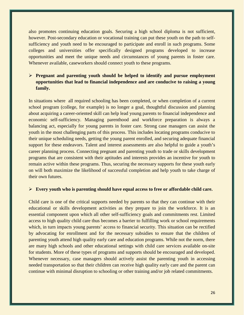also promotes continuing education goals. Securing a high school diploma is not sufficient, however. Post-secondary education or vocational training can put these youth on the path to selfsufficiency and youth need to be encouraged to participate and enroll in such programs. Some colleges and universities offer specifically designed programs developed to increase opportunities and meet the unique needs and circumstances of young parents in foster care. Whenever available, caseworkers should connect youth to these programs.

## **Pregnant and parenting youth should be helped to identify and pursue employment opportunities that lead to financial independence and are conducive to raising a young family.**

In situations where all required schooling has been completed, or when completion of a current school program (college, for example) is no longer a goal, thoughtful discussion and planning about acquiring a career-oriented skill can help lead young parents to financial independence and economic self-sufficiency. Managing parenthood and workforce preparation is always a balancing act, especially for young parents in foster care. Strong case managers can assist the youth in the most challenging parts of this process. This includes locating programs conducive to their unique scheduling needs, getting the young parent enrolled, and securing adequate financial support for these endeavors. Talent and interest assessments are also helpful to guide a youth's career planning process. Connecting pregnant and parenting youth to trade or skills development programs that are consistent with their aptitudes and interests provides an incentive for youth to remain active within these programs. Thus, securing the necessary supports for these youth early on will both maximize the likelihood of successful completion and help youth to take charge of their own futures.

#### **Every youth who is parenting should have equal access to free or affordable child care.**

Child care is one of the critical supports needed by parents so that they can continue with their educational or skills development activities as they prepare to join the workforce. It is an essential component upon which all other self-sufficiency goals and commitments rest. Limited access to high quality child care thus becomes a barrier to fulfilling work or school requirements which, in turn impacts young parents' access to financial security. This situation can be rectified by advocating for enrollment and for the necessary subsidies to ensure that the children of parenting youth attend high quality early care and education programs. While not the norm, there are many high schools and other educational settings with child care services available on-site for students. More of these types of programs and supports should be encouraged and developed. Whenever necessary, case managers should actively assist the parenting youth in accessing needed transportation so that their children can receive high quality early care and the parent can continue with minimal disruption to schooling or other training and/or job related commitments.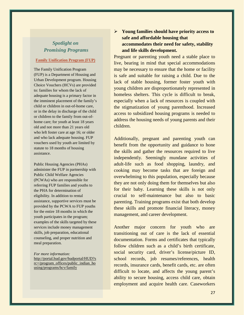# *Spotlight on Promising Programs*

#### **Family Unification Program (FUP)**

The Family Unification Program (FUP) is a Department of Housing and Urban Development program. Housing Choice Vouchers (HCVs) are provided to: families for whom the lack of adequate housing is a primary factor in the imminent placement of the family's child or children in out-of-home care, or in the delay in discharge of the child or children to the family from out-ofhome care; for youth at least 18 years old and not more than 21 years old who left foster care at age 16; or older and who lack adequate housing. FUP vouchers used by youth are limited by statute to 18 months of housing assistance.

Public Housing Agencies (PHAs) administer the FUP in partnership with Public Child Welfare Agencies (PCWAs) who are responsible for referring FUP families and youths to the PHA for determination of eligibility. In addition to rental assistance, supportive services must be provided by the PCWA to FUP youths for the entire 18 months in which the youth participates in the program; examples of the skills targeted by these services include money management skills, job preparation, educational counseling, and proper nutrition and meal preparation.

*For more information:* [http://portal.hud.gov/hudportal/HUD?s](http://portal.hud.gov/hudportal/HUD?src=/program_offices/public_indian_housing/programs/hcv/family) [rc=/program\\_offices/public\\_indian\\_ho](http://portal.hud.gov/hudportal/HUD?src=/program_offices/public_indian_housing/programs/hcv/family) [using/programs/hcv/family](http://portal.hud.gov/hudportal/HUD?src=/program_offices/public_indian_housing/programs/hcv/family)

## **Young families should have priority access to safe and affordable housing that accommodates their need for safety, stability and life skills development.**

Pregnant or parenting youth need a stable place to live, bearing in mind that special accommodations may be necessary to ensure that the home or facility is safe and suitable for raising a child. Due to the lack of stable housing, former foster youth with young children are disproportionately represented in homeless shelters. This cycle is difficult to break, especially when a lack of resources is coupled with the stigmatization of young parenthood. Increased access to subsidized housing programs is needed to address the housing needs of young parents and their children.

Additionally, pregnant and parenting youth can benefit from the opportunity and guidance to hone the skills and gather the resources required to live independently. Seemingly mundane activities of adult-life such as food shopping, laundry, and cooking may become tasks that are foreign and overwhelming to this population, especially because they are not only doing them for themselves but also for their baby. Learning these skills is not only crucial to self-maintenance but also to basic parenting. Training programs exist that both develop these skills and promote financial literacy, money management, and career development.

Another major concern for youth who are transitioning out of care is the lack of essential documentation. Forms and certificates that typically follow children such as a child's birth certificate, social security card, driver's license/picture ID, school records, job resumes/references, health records, insurance cards, benefit cards, etc. are often difficult to locate, and affects the young parent's ability to secure housing, access child care, obtain employment and acquire health care. Caseworkers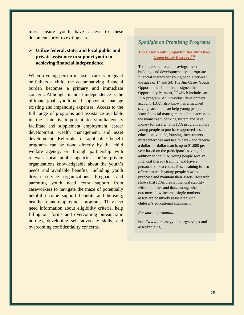must ensure youth have access to these documents prior to exiting care.

## **Utilize federal, state, and local public and private assistance to support youth in achieving financial independence.**

When a young person in foster care is pregnant or fathers a child, the accompanying financial burden becomes a primary and immediate concern. Although financial independence is the ultimate goal, youth need support to manage existing and impending expenses. Access to the full range of programs and assistance available in the state is important to simultaneously facilitate and supplement employment, career development, wealth management, and asset development. Referrals for applicable benefit programs can be done directly by the child welfare agency, or through partnership with relevant local public agencies and/or private organizations knowledgeable about the youth's needs and available benefits, including youth driven service organizations. Pregnant and parenting youth need extra support from caseworkers to navigate the maze of potentially helpful income support benefits and housing, healthcare and employment programs. They also need information about eligibility criteria, help filling out forms and overcoming bureaucratic hurdles, developing self advocacy skills, and overcoming confidentiality concerns.

#### *Spotlight on Promising Programs*

#### **Jim Casey Youth Opportunities Initiative-Opportunity PassportTM**

To address the issue of savings, asset building, and developmentally appropriate financial literacy for young people between the ages of 14 and 24, The Jim Casey Youth Opportunities Initiative designed the Opportunity Passport,  $^{TM}$  which includes an IDA program. An individual development account (IDA), also known as a matched savings account, can help young people learn financial management, obtain access to the mainstream banking system and save money for assets. This IDA program allows young people to purchase approved assets education, vehicle, housing, investments, microenterprise and health care - and receive a dollar for dollar match, up to \$1,000 per year based on the participant's savings. In addition to the IDA, young people receive financial literacy training, and have a personal bank account. Asset training is also offered to teach young people how to purchase and maintain their assets. Research shows that IDAs create financial stability within families and that, among other outcomes, low-income, single mothers' assets are positively associated with children's educational attainment.

*For more information:* 

http://www.jimcaseyyouth.org/savings-andasset-building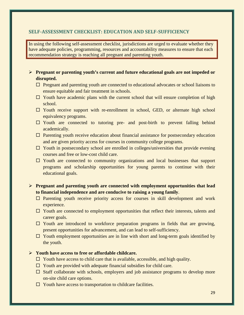#### **SELF-ASSESSMENT CHECKLIST: EDUCATION AND SELF-SUFFICIENCY**

In using the following self-assessment checklist, jurisdictions are urged to evaluate whether they have adequate policies, programming, resources and accountability measures to ensure that each recommendation strategy is reaching all pregnant and parenting youth.

- **Pregnant or parenting youth's current and future educational goals are not impeded or disrupted.**
	- $\Box$  Pregnant and parenting youth are connected to educational advocates or school liaisons to ensure equitable and fair treatment in schools.
	- $\Box$  Youth have academic plans with the current school that will ensure completion of high school.
	- $\Box$  Youth receive support with re-enrollment in school, GED, or alternate high school equivalency programs.
	- $\Box$  Youth are connected to tutoring pre- and post-birth to prevent falling behind academically.
	- $\Box$  Parenting youth receive education about financial assistance for postsecondary education and are given priority access for courses in community college programs.
	- $\Box$  Youth in postsecondary school are enrolled in colleges/universities that provide evening courses and free or low-cost child care.
	- $\Box$  Youth are connected to community organizations and local businesses that support programs and scholarship opportunities for young parents to continue with their educational goals.

### **Pregnant and parenting youth are connected with employment opportunities that lead to financial independence and are conducive to raising a young family**.

- $\Box$  Parenting youth receive priority access for courses in skill development and work experience.
- $\Box$  Youth are connected to employment opportunities that reflect their interests, talents and career goals.
- $\Box$  Youth are introduced to workforce preparation programs in fields that are growing, present opportunities for advancement, and can lead to self-sufficiency.
- $\Box$  Youth employment opportunities are in line with short and long-term goals identified by the youth.

#### **Youth have access to free or affordable childcare.**

- $\Box$  Youth have access to child care that is available, accessible, and high quality.
- $\Box$  Youth are provided with adequate financial subsidies for child care.
- $\Box$  Staff collaborate with schools, employers and job assistance programs to develop more on-site child care options.
- $\Box$  Youth have access to transportation to childcare facilities.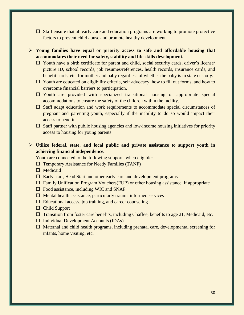- $\Box$  Staff ensure that all early care and education programs are working to promote protective factors to prevent child abuse and promote healthy development.
- **Young families have equal or priority access to safe and affordable housing that accommodates their need for safety, stability and life skills development.**
	- $\Box$  Youth have a birth certificate for parent and child, social security cards, driver's license/ picture ID, school records, job resumes/references, health records, insurance cards, and benefit cards, etc. for mother and baby regardless of whether the baby is in state custody.
	- $\Box$  Youth are educated on eligibility criteria, self advocacy, how to fill out forms, and how to overcome financial barriers to participation.
	- $\Box$  Youth are provided with specialized transitional housing or appropriate special accommodations to ensure the safety of the children within the facility.
	- $\Box$  Staff adapt education and work requirements to accommodate special circumstances of pregnant and parenting youth, especially if the inability to do so would impact their access to benefits.
	- $\Box$  Staff partner with public housing agencies and low-income housing initiatives for priority access to housing for young parents.

### **Utilize federal, state, and local public and private assistance to support youth in achieving financial independence.**

Youth are connected to the following supports when eligible:

- $\Box$  Temporary Assistance for Needy Families (TANF)
- $\Box$  Medicaid
- $\Box$  Early start, Head Start and other early care and development programs
- $\Box$  Family Unification Program Vouchers(FUP) or other housing assistance, if appropriate
- $\Box$  Food assistance, including WIC and SNAP
- $\Box$  Mental health assistance, particularly trauma informed services
- $\Box$  Educational access, job training, and career counseling
- □ Child Support
- $\Box$  Transition from foster care benefits, including Chaffee, benefits to age 21, Medicaid, etc.
- $\Box$  Individual Development Accounts (IDAs)
- $\Box$  Maternal and child health programs, including prenatal care, developmental screening for infants, home visiting, etc.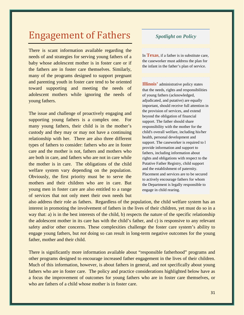# Engagement of Fathers

There is scant information available regarding the needs of and strategies for serving young fathers of a baby whose adolescent mother is in foster care or if the fathers are in foster care themselves. Similarly, many of the programs designed to support pregnant and parenting youth in foster care tend to be oriented toward supporting and meeting the needs of adolescent mothers while ignoring the needs of young fathers.

The issue and challenge of proactively engaging and supporting young fathers is a complex one. For many young fathers, their child is in the mother's custody and they may or may not have a continuing relationship with her. There are also three different types of fathers to consider: fathers who are in foster care and the mother is not, fathers and mothers who are both in care, and fathers who are not in care while the mother is in care. The obligations of the child welfare system vary depending on the population. Obviously, the first priority must be to serve the mothers and their children who are in care. But young men in foster care are also entitled to a range of services that not only meet their own needs but

### *Spotlight on Policy*

In **Texas**, if a father is in substitute care, the caseworker must address the plan for the infant in the father's plan of service.

**Illinois'** administrative policy states that the needs, rights and responsibilities of young fathers (acknowledged, adjudicated, and putative) are equally important, should receive full attention in the provision of services, and extend beyond the obligation of financial support. The father should share responsibility with the mother for the child's overall welfare, including his/her health, personal development and support. The caseworker is required to l provide information and support to fathers, including information about rights and obligations with respect to the Putative Father Registry, child support and the establishment of paternity. Placement and services are to be secured to actively encourage fathers for whom the Department is legally responsible to engage in child rearing.

also address their role as fathers. Regardless of the population, the child welfare system has an interest in promoting the involvement of fathers in the lives of their children, yet must do so in a way that: a) is in the best interests of the child, b) respects the nature of the specific relationship the adolescent mother in its care has with the child's father, and c) is responsive to any relevant safety and/or other concerns. These complexities challenge the foster care system's ability to engage young fathers, but *not* doing so can result in long-term negative outcomes for the young father, mother and their child.

There is significantly more information available about "responsible fatherhood" programs and other programs designed to encourage increased father engagement in the lives of their children. Much of this information, however, is about fathers in general, and not specifically about young fathers who are in foster care. The policy and practice considerations highlighted below have as a focus the improvement of outcomes for young fathers who are in foster care themselves, or who are fathers of a child whose mother is in foster care.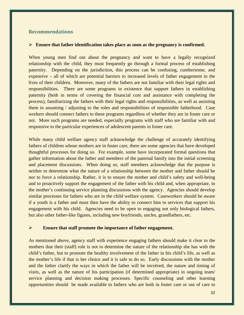#### **Recommendations**

#### **Ensure that father identification takes place as soon as the pregnancy is confirmed.**

When young men find out about the pregnancy and want to have a legally recognized relationship with the child, they must frequently go through a formal process of establishing paternity. Depending on the jurisdiction, this process can be confusing, cumbersome, and expensive – all of which are potential barriers to increased levels of father engagement in the lives of their children. Moreover, many of the fathers are not familiar with their legal rights and responsibilities. There are some programs in existence that support fathers in establishing paternity (both in terms of covering the financial cost and assistance with completing the process), familiarizing the fathers with their legal rights and responsibilities, as well as assisting them in assuming / adjusting to the roles and responsibilities of responsible fatherhood. Case workers should connect fathers to these programs regardless of whether they are in foster care or not. More such programs are needed, especially programs with staff who are familiar with and responsive to the particular experiences of adolescent parents in foster care.

While many child welfare agency staff acknowledge the challenge of accurately identifying fathers of children whose mothers are in foster care, there are some agencies that have developed thoughtful processes for doing so. For example, some have incorporated formal questions that gather information about the father and members of the paternal family into the initial screening and placement discussions. When doing so, staff members acknowledge that the purpose is neither to determine what the nature of a relationship between the mother and father should be nor to force a relationship. Rather, it is to ensure the mother and child's safety and well-being and to proactively support the engagement of the father with his child and, when appropriate, in the mother's continuing service planning discussions with the agency. Agencies should develop similar processes for fathers who are in the child welfare system. Caseworkers should be aware if a youth is a father and must then have the ability to connect him to services that support his engagement with his child. Agencies need to be open to engaging not only biological fathers, but also other father-like figures, including new boyfriends, uncles, grandfathers, etc.

#### **Ensure that staff promote the importance of father engagement.**

As mentioned above, agency staff with experience engaging fathers should make it clear to the mothers that their (staff) role is not to determine the nature of the relationship she has with the child's father, but to promote the healthy involvement of the father in his child's life, as well as the mother's life if that is her choice and it is safe to do so. Early discussions with the mother and the father clarify the ways in which the father will be involved, the nature and timing of visits, as well as the nature of his participation (if determined appropriate) in ongoing team/ service planning and decision making processes. Specific counseling and other learning opportunities should be made available to fathers who are both in foster care or out of care to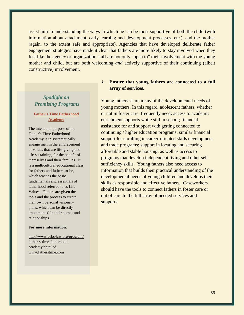assist him in understanding the ways in which he can be most supportive of both the child (with information about attachment, early learning and development processes, etc.), and the mother (again, to the extent safe and appropriate). Agencies that have developed deliberate father engagement strategies have made it clear that fathers are more likely to stay involved when they feel like the agency or organization staff are not only "open to" their involvement with the young mother and child, but are both welcoming *and* actively supportive of their continuing (albeit constructive) involvement.

## *Spotlight on Promising Programs*

#### **Father's Time Fatherhood Academy**

The intent and purpose of the Father's Time Fatherhood Academy is to systematically engage men in the embracement of values that are life-giving and life-sustaining, for the benefit of themselves and their families. It is a multicultural educational class for fathers and fathers-to-be, which teaches the basic fundamentals and essentials of fatherhood referred to as Life Values. Fathers are given the tools and the process to create their own personal visionary plans, which can be directly implemented in their homes and relationships.

#### **For more information**:

[http://www.cebc4cw.org/program/](http://www.cebc4cw.org/program/father-s-time-fatherhood-academy/detailed) [father-s-time-fatherhood](http://www.cebc4cw.org/program/father-s-time-fatherhood-academy/detailed)[academy/detailed;](http://www.cebc4cw.org/program/father-s-time-fatherhood-academy/detailed) [www.fatherstime.com](http://www.fatherstime.com/)

#### **Ensure that young fathers are connected to a full array of services.**

Young fathers share many of the developmental needs of young mothers. In this regard, adolescent fathers, whether or not in foster care, frequently need: access to academic enrichment supports while still in school; financial assistance for and support with getting connected to continuing / higher education programs; similar financial support for enrolling in career-oriented skills development and trade programs; support in locating and securing affordable and stable housing; as well as access to programs that develop independent living and other selfsufficiency skills. Young fathers also need access to information that builds their practical understanding of the developmental needs of young children and develops their skills as responsible and effective fathers. Caseworkers should have the tools to connect fathers in foster care or out of care to the full array of needed services and supports.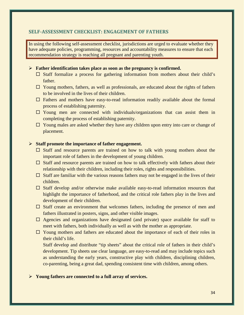#### **SELF-ASSESSMENT CHECKLIST: ENGAGEMENT OF FATHERS**

In using the following self-assessment checklist, jurisdictions are urged to evaluate whether they have adequate policies, programming, resources and accountability measures to ensure that each recommendation strategy is reaching all pregnant and parenting youth.

#### **Father identification takes place as soon as the pregnancy is confirmed.**

- $\Box$  Staff formalize a process for gathering information from mothers about their child's father.
- $\Box$  Young mothers, fathers, as well as professionals, are educated about the rights of fathers to be involved in the lives of their children.
- $\Box$  Fathers and mothers have easy-to-read information readily available about the formal process of establishing paternity.
- $\square$  Young men are connected with individuals/organizations that can assist them in completing the process of establishing paternity.
- $\Box$  Young males are asked whether they have any children upon entry into care or change of placement.

#### **Staff promote the importance of father engagement.**

- $\Box$  Staff and resource parents are trained on how to talk with young mothers about the important role of fathers in the development of young children.
- $\Box$  Staff and resource parents are trained on how to talk effectively with fathers about their relationship with their children, including their roles, rights and responsibilities.
- $\Box$  Staff are familiar with the various reasons fathers may not be engaged in the lives of their children.
- $\Box$  Staff develop and/or otherwise make available easy-to-read information resources that highlight the importance of fatherhood, and the critical role fathers play in the lives and development of their children.
- $\Box$  Staff create an environment that welcomes fathers, including the presence of men and fathers illustrated in posters, signs, and other visible images.
- $\Box$  Agencies and organizations have designated (and private) space available for staff to meet with fathers, both individually as well as with the mother as appropriate.
- $\Box$  Young mothers and fathers are educated about the importance of each of their roles in their child's life.

Staff develop and distribute "tip sheets" about the critical role of fathers in their child's development. Tip sheets use clear language, are easy-to-read and may include topics such as understanding the early years, constructive play with children, disciplining children, co-parenting, being a great dad, spending consistent time with children, among others.

#### **Young fathers are connected to a full array of services.**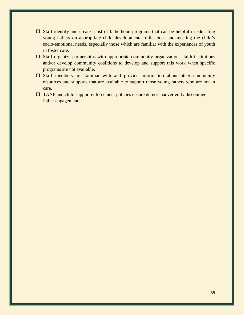- $\Box$  Staff identify and create a list of fatherhood programs that can be helpful in educating young fathers on appropriate child developmental milestones and meeting the child's socio-emotional needs, especially those which are familiar with the experiences of youth in foster care.
- $\Box$  Staff organize partnerships with appropriate community organizations, faith institutions and/or develop community coalitions to develop and support this work when specific programs are not available.
- $\Box$  Staff members are familiar with and provide information about other community resources and supports that are available to support those young fathers who are not in care.
- $\Box$  TANF and child support enforcement policies ensure do not inadvertently discourage father engagement.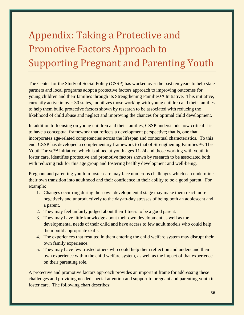# Appendix: Taking a Protective and Promotive Factors Approach to Supporting Pregnant and Parenting Youth

The Center for the Study of Social Policy (CSSP) has worked over the past ten years to help state partners and local programs adopt a protective factors approach to improving outcomes for young children and their families through its Strengthening Families™ Initiative. This initiative, currently active in over 30 states, mobilizes those working with young children and their families to help them build protective factors shown by research to be associated with reducing the likelihood of child abuse and neglect and improving the chances for optimal child development.

In addition to focusing on young children and their families, CSSP understands how critical it is to have a conceptual framework that reflects a development perspective; that is, one that incorporates age-related competencies across the lifespan and contextual characteristics. To this end, CSSP has developed a complementary framework to that of Strengthening Families™. The YouthThrive™ initiative, which is aimed at youth ages 11-24 and those working with youth in foster care, identifies protective and promotive factors shown by research to be associated both with reducing risk for this age group and fostering healthy development and well-being.

Pregnant and parenting youth in foster care may face numerous challenges which can undermine their own transition into adulthood and their confidence in their ability to be a good parent. For example:

- 1. Changes occurring during their own developmental stage may make them react more negatively and unproductively to the day-to-day stresses of being both an adolescent and a parent.
- 2. They may feel unfairly judged about their fitness to be a good parent.
- 3. They may have little knowledge about their own development as well as the developmental needs of their child and have access to few adult models who could help them build appropriate skills.
- 4. The experiences that resulted in them entering the child welfare system may disrupt their own family experience.
- 5. They may have few trusted others who could help them reflect on and understand their own experience within the child welfare system, as well as the impact of that experience on their parenting role.

A protective and promotive factors approach provides an important frame for addressing these challenges and providing needed special attention and support to pregnant and parenting youth in foster care. The following chart describes: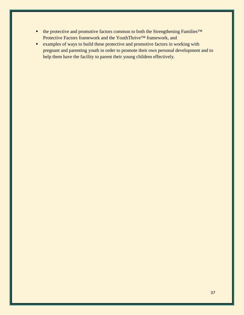- the protective and promotive factors common to both the Strengthening Families<sup>™</sup> Protective Factors framework and the YouthThrive™ framework, and
- **Examples of ways to build these protective and promotive factors in working with** pregnant and parenting youth in order to promote their own personal development and to help them have the facility to parent their young children effectively.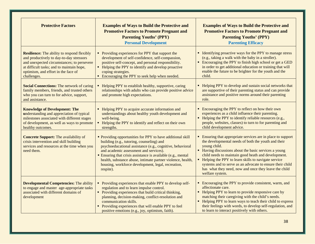| <b>Protective Factors</b>                                                                                                                                                                                                                       | <b>Examples of Ways to Build the Protective and</b><br><b>Promotive Factors to Promote Pregnant and</b><br><b>Parenting Youths' (PPY)</b><br><b>Personal Development</b>                                                                                                                                                                                                                                         | <b>Examples of Ways to Build the Protective and</b><br><b>Promotive Factors to Promote Pregnant and</b><br><b>Parenting Youths' (PPY)</b><br><b>Parenting Efficacy</b>                                                                                                                                                                                                                                                                              |
|-------------------------------------------------------------------------------------------------------------------------------------------------------------------------------------------------------------------------------------------------|------------------------------------------------------------------------------------------------------------------------------------------------------------------------------------------------------------------------------------------------------------------------------------------------------------------------------------------------------------------------------------------------------------------|-----------------------------------------------------------------------------------------------------------------------------------------------------------------------------------------------------------------------------------------------------------------------------------------------------------------------------------------------------------------------------------------------------------------------------------------------------|
| <b>Resilience:</b> The ability to respond flexibly<br>and productively to day-to-day stressors<br>and unexpected circumstances; to persevere<br>at difficult tasks; and to maintain hope,<br>optimism, and effort in the face of<br>challenges. | • Providing experiences for PPY that support the<br>development of self-confidence, self-compassion,<br>positive self-concept, and personal responsibility.<br>• Helping the PPY to identify and develop proactive<br>coping strategies.<br>• Encouraging the PPY to seek help when needed.                                                                                                                      | • Identifying proactive ways for the PPY to manage stress<br>(e.g., taking a walk with the baby in a stroller).<br>Encouraging the PPY to finish high school or get a GED<br>in order to get additional education or training that will<br>enable the future to be brighter for the youth and the<br>child.                                                                                                                                         |
| <b>Social Connections:</b> The network of caring<br>family members, friends, and trusted others<br>who you can turn to for advice, support,<br>and assistance.                                                                                  | • Helping PPY to establish healthy, supportive, caring<br>relationships with adults who can provide positive advice<br>and promote high expectations.                                                                                                                                                                                                                                                            | • Helping PPY to develop and sustain social networks that<br>are supportive of their parenting status and can provide<br>assistance and positive norms around their parenting<br>role.                                                                                                                                                                                                                                                              |
| <b>Knowledge of Development: The</b><br>understanding and appreciation of typical<br>milestones associated with different stages<br>of development, as well as ways to promote<br>healthy outcomes.                                             | • Helping PPY to acquire accurate information and<br>understandings about healthy youth development and<br>well-being.<br>• Helping the PPY to identify and reflect on their own<br>strengths.                                                                                                                                                                                                                   | Encouraging the PPY to reflect on how their own<br>experiences as a child influence their parenting.<br>Helping the PPY to identify reliable resources (e.g.,<br>people, websites, classes) to turn to for parenting and<br>child development advice.                                                                                                                                                                                               |
| <b>Concrete Support:</b> The availability of<br>crisis intervention and skill building<br>services and resources at the time when you<br>need them.                                                                                             | • Providing opportunities for PPY to have additional skill<br>building (e.g., tutoring, counseling) and<br>psychoeducational assistance (e.g., cognitive, behavioral<br>and academic assessment and services).<br>• Ensuring that crisis assistance is available (e.g., mental<br>health, substance abuse, intimate partner violence, health,<br>housing, workforce development, legal, recreation,<br>respite). | Ensuring that appropriate services are in place to support<br>the developmental needs of both the youth and their<br>young child.<br>• Having discussions about the basic services a young<br>child needs to maintain good heath and development.<br>• Helping the PPY to learn skills to navigate service<br>systems and to serve as an advocate to ensure their child<br>has what they need, now and once they leave the child<br>welfare system. |
| <b>Developmental Competencies: The ability</b><br>to engage and master age-appropriate tasks<br>associated with different domains of<br>development                                                                                             | • Providing experiences that enable PPY to develop self-<br>regulation and to learn impulse control.<br>• Providing experiences that build critical thinking,<br>planning, decision-making, conflict-resolution and<br>communication skills.<br>• Providing experiences that will enable PPY to feel<br>positive emotions (e.g., joy, optimism, faith).                                                          | • Encouraging the PPY to provide consistent, warm, and<br>affectionate care.<br>• Helping PPY to learn to provide responsive care by<br>matching their caregiving with the child's needs.<br>• Helping PPY to learn ways to teach their child to express<br>their feelings with words, to develop self-regulation, and<br>to learn to interact positively with others.                                                                              |